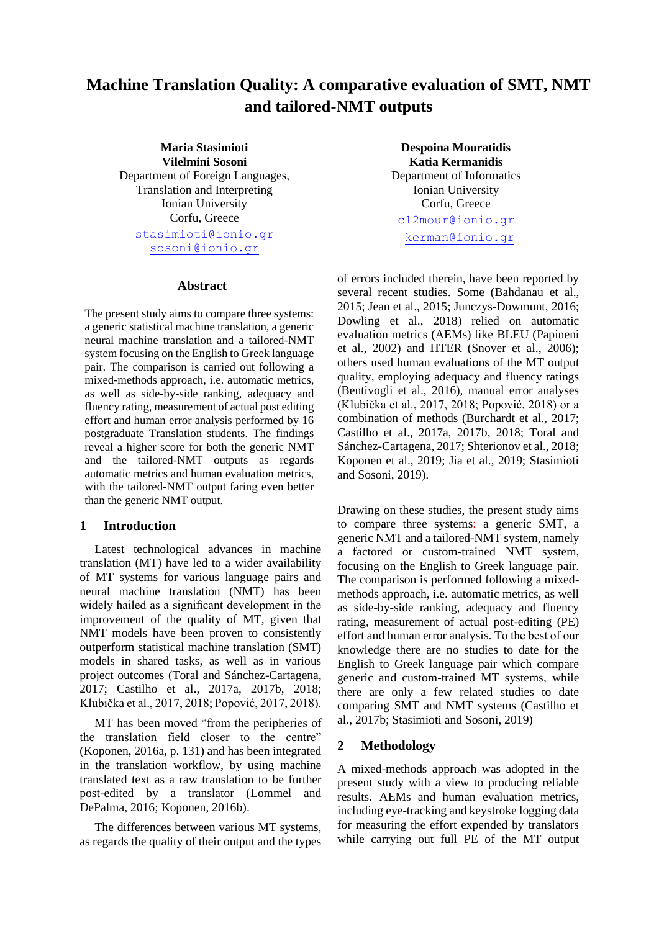# **Machine Translation Quality: A comparative evaluation of SMT, NMT and tailored-NMT outputs**

**Maria Stasimioti Vilelmini Sosoni** Department of Foreign Languages, Translation and Interpreting Ionian University Corfu, Greece [stasimioti@ionio.gr](mailto:stasimioti@ionio.gr) [sosoni@ionio.gr](mailto:sosoni@ionio.gr)

#### **Abstract**

The present study aims to compare three systems: a generic statistical machine translation, a generic neural machine translation and a tailored-NMT system focusing on the English to Greek language pair. The comparison is carried out following a mixed-methods approach, i.e. automatic metrics, as well as side-by-side ranking, adequacy and fluency rating, measurement of actual post editing effort and human error analysis performed by 16 postgraduate Translation students. The findings reveal a higher score for both the generic NMT and the tailored-NMT outputs as regards automatic metrics and human evaluation metrics, with the tailored-NMT output faring even better than the generic NMT output.

#### **1 Introduction**

Latest technological advances in machine translation (MT) have led to a wider availability of MT systems for various language pairs and neural machine translation (NMT) has been widely hailed as a significant development in the improvement of the quality of MT, given that NMT models have been proven to consistently outperform statistical machine translation (SMT) models in shared tasks, as well as in various project outcomes (Toral and Sánchez-Cartagena, 2017; Castilho et al., 2017a, 2017b, 2018; Klubička et al., 2017, 2018; Popović, 2017, 2018).

MT has been moved "from the peripheries of the translation field closer to the centre" (Koponen, 2016a, p. 131) and has been integrated in the translation workflow, by using machine translated text as a raw translation to be further post-edited by a translator (Lommel and DePalma, 2016; Koponen, 2016b).

The differences between various MT systems, as regards the quality of their output and the types

**Despoina Mouratidis Katia Kermanidis** Department of Informatics Ionian University Corfu, Greece [c12mour@ionio](mailto:dmouratidi@gmail.com)[.gr](mailto:sosoni@ionio.gr) [kerman@ionio.gr](mailto:kerman@ionio.gr)

of errors included therein, have been reported by several recent studies. Some (Bahdanau et al., 2015; Jean et al., 2015; Junczys-Dowmunt, 2016; Dowling et al., 2018) relied on automatic evaluation metrics (AEMs) like BLEU (Papineni et al., 2002) and HTER (Snover et al., 2006); others used human evaluations of the MT output quality, employing adequacy and fluency ratings (Bentivogli et al., 2016), manual error analyses (Klubička et al., 2017, 2018; Popović, 2018) or a combination of methods (Burchardt et al., 2017; Castilho et al., 2017a, 2017b, 2018; Toral and Sánchez-Cartagena, 2017; Shterionov et al., 2018; Koponen et al., 2019; Jia et al., 2019; Stasimioti and Sosoni, 2019).

Drawing on these studies, the present study aims to compare three systems: a generic SMT, a generic NMT and a tailored-NMT system, namely a factored or custom-trained NMT system, focusing on the English to Greek language pair. The comparison is performed following a mixedmethods approach, i.e. automatic metrics, as well as side-by-side ranking, adequacy and fluency rating, measurement of actual post-editing (PE) effort and human error analysis. Tο the best of our knowledge there are no studies to date for the English to Greek language pair which compare generic and custom-trained MT systems, while there are only a few related studies to date comparing SMT and NMT systems (Castilho et al., 2017b; Stasimioti and Sosoni, 2019)

#### **2 Methodology**

A mixed-methods approach was adopted in the present study with a view to producing reliable results. AEMs and human evaluation metrics, including eye-tracking and keystroke logging data for measuring the effort expended by translators while carrying out full PE of the MT output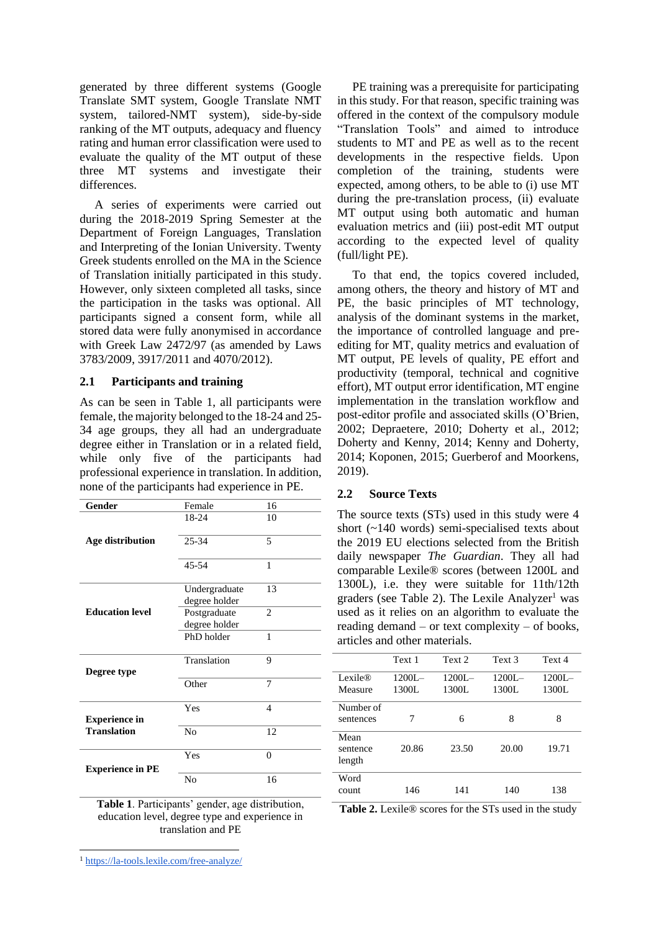generated by three different systems (Google Translate SMT system, Google Translate NMT system, tailored-NMT system), side-by-side ranking of the MT outputs, adequacy and fluency rating and human error classification were used to evaluate the quality of the MT output of these three MT systems and investigate their differences.

A series of experiments were carried out during the 2018-2019 Spring Semester at the Department of Foreign Languages, Translation and Interpreting of the Ionian University. Twenty Greek students enrolled on the MA in the Science of Translation initially participated in this study. However, only sixteen completed all tasks, since the participation in the tasks was optional. All participants signed a consent form, while all stored data were fully anonymised in accordance with Greek Law 2472/97 (as amended by Laws 3783/2009, 3917/2011 and 4070/2012).

## **2.1 Participants and training**

As can be seen in Table 1, all participants were female, the majority belonged to the 18-24 and 25- 34 age groups, they all had an undergraduate degree either in Translation or in a related field, while only five of the participants had professional experience in translation. In addition, none of the participants had experience in PE.

| Gender                  | Female                         | 16                       |
|-------------------------|--------------------------------|--------------------------|
|                         | 18-24                          | 10                       |
| Age distribution        | $25 - 34$                      | 5                        |
|                         | 45-54                          | 1                        |
|                         | Undergraduate<br>degree holder | 13                       |
| <b>Education level</b>  | Postgraduate<br>degree holder  | $\overline{c}$           |
|                         | PhD holder                     | 1                        |
| Degree type             | Translation                    | 9                        |
|                         | Other                          | 7                        |
| <b>Experience in</b>    | Yes                            | $\overline{\mathcal{A}}$ |
| <b>Translation</b>      | N <sub>o</sub>                 | 12                       |
| <b>Experience in PE</b> | Yes                            | $\Omega$                 |
|                         | No                             | 16                       |

**Table 1**. Participants' gender, age distribution, education level, degree type and experience in translation and PE

PE training was a prerequisite for participating in this study. For that reason, specific training was offered in the context of the compulsory module "Translation Tools" and aimed to introduce students to MT and PE as well as to the recent developments in the respective fields. Upon completion of the training, students were expected, among others, to be able to (i) use MT during the pre-translation process, (ii) evaluate MT output using both automatic and human evaluation metrics and (iii) post-edit MT output according to the expected level of quality (full/light PE).

To that end, the topics covered included, among others, the theory and history of MT and PE, the basic principles of MT technology, analysis of the dominant systems in the market, the importance of controlled language and preediting for MT, quality metrics and evaluation of MT output, PE levels of quality, PE effort and productivity (temporal, technical and cognitive effort), MT output error identification, MT engine implementation in the translation workflow and post-editor profile and associated skills (O'Brien, 2002; Depraetere, 2010; Doherty et al., 2012; Doherty and Kenny, 2014; Kenny and Doherty, 2014; Koponen, 2015; Guerberof and Moorkens, 2019).

## **2.2 Source Texts**

The source texts (STs) used in this study were 4 short (~140 words) semi-specialised texts about the 2019 EU elections selected from the British daily newspaper *The Guardian*. They all had comparable Lexile® scores (between 1200L and 1300L), i.e. they were suitable for 11th/12th graders (see Table 2). The Lexile Analyzer<sup>1</sup> was used as it relies on an algorithm to evaluate the reading demand – or text complexity – of books, articles and other materials.

|                               | Text 1             | Text 2             | Text 3             | Text 4             |
|-------------------------------|--------------------|--------------------|--------------------|--------------------|
| Lexile $\mathbb R$<br>Measure | $1200L -$<br>1300L | $1200I -$<br>1300L | $1200L -$<br>1300L | $1200L -$<br>1300L |
| Number of<br>sentences        | 7                  | 6                  | 8                  | 8                  |
| Mean<br>sentence<br>length    | 20.86              | 23.50              | 20.00              | 19.71              |
| Word<br>count                 | 146                | 141                | 140                | 138                |

Table 2. Lexile<sup>®</sup> scores for the STs used in the study

<sup>1</sup> <https://la-tools.lexile.com/free-analyze/>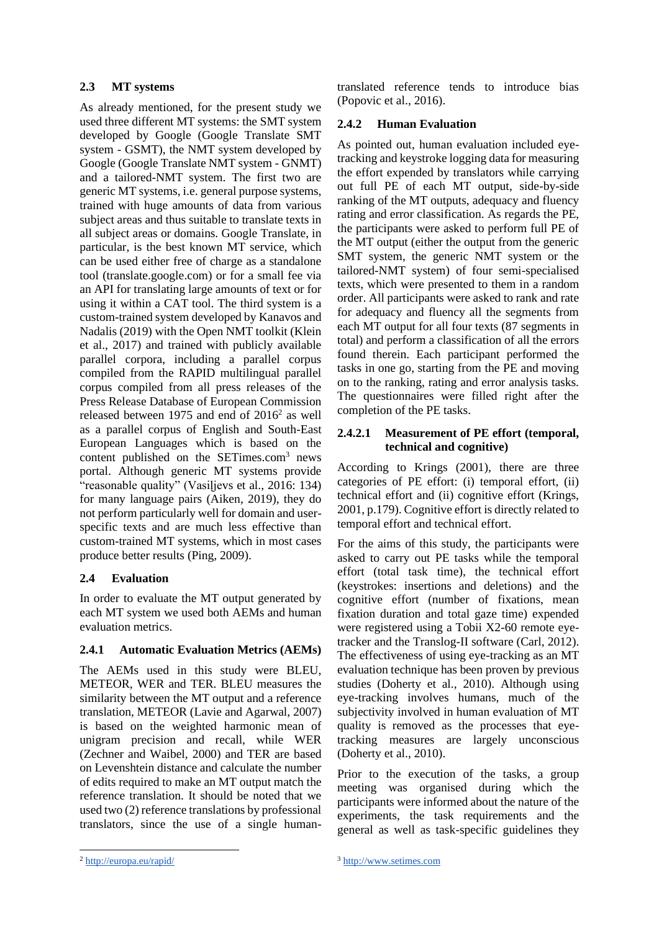# **2.3 MT systems**

As already mentioned, for the present study we used three different MT systems: the SMT system developed by Google (Google Translate SMT system - GSMT), the NMT system developed by Google (Google Translate NMT system - GNMT) and a tailored-NMT system. The first two are generic MT systems, i.e. general purpose systems, trained with huge amounts of data from various subject areas and thus suitable to translate texts in all subject areas or domains. Google Translate, in particular, is the best known MT service, which can be used either free of charge as a standalone tool (translate.google.com) or for a small fee via an API for translating large amounts of text or for using it within a CAT tool. The third system is a custom-trained system developed by Kanavos and Nadalis (2019) with the Open NMT toolkit (Klein et al., 2017) and trained with publicly available parallel corpora, including a parallel corpus compiled from the RAPID multilingual parallel corpus compiled from all press releases of the Press Release Database of European Commission released between  $1975$  and end of  $2016^2$  as well as a parallel corpus of English and South-East European Languages which is based on the content published on the [SETimes.com](http://www.setimes.com/)<sup>3</sup> news portal. Although generic MT systems provide "reasonable quality" (Vasiļjevs et al., 2016: 134) for many language pairs (Aiken, 2019), they do not perform particularly well for domain and userspecific texts and are much less effective than custom-trained MT systems, which in most cases produce better results (Ping, 2009).

# **2.4 Evaluation**

In order to evaluate the MT output generated by each MT system we used both AEMs and human evaluation metrics.

# **2.4.1 Automatic Evaluation Metrics (AEMs)**

The AEMs used in this study were BLEU, METEOR, WER and TER. BLEU measures the similarity between the MT output and a reference translation, METEOR (Lavie and Agarwal, 2007) is based on the weighted harmonic mean of unigram precision and recall, while WER (Zechner and Waibel, 2000) and TER are based on Levenshtein distance and calculate the number of edits required to make an MT output match the reference translation. It should be noted that we used two (2) reference translations by professional translators, since the use of a single humantranslated reference tends to introduce bias (Popovic et al., 2016).

# **2.4.2 Human Evaluation**

As pointed out, human evaluation included eyetracking and keystroke logging data for measuring the effort expended by translators while carrying out full PE of each MT output, side-by-side ranking of the MT outputs, adequacy and fluency rating and error classification. As regards the PE, the participants were asked to perform full PE of the MT output (either the output from the generic SMT system, the generic NMT system or the tailored-NMT system) of four semi-specialised texts, which were presented to them in a random order. All participants were asked to rank and rate for adequacy and fluency all the segments from each MT output for all four texts (87 segments in total) and perform a classification of all the errors found therein. Each participant performed the tasks in one go, starting from the PE and moving on to the ranking, rating and error analysis tasks. The questionnaires were filled right after the completion of the PE tasks.

# **2.4.2.1 Measurement of PE effort (temporal, technical and cognitive)**

According to Krings (2001), there are three categories of PE effort: (i) temporal effort, (ii) technical effort and (ii) cognitive effort (Krings, 2001, p.179). Cognitive effort is directly related to temporal effort and technical effort.

For the aims of this study, the participants were asked to carry out PE tasks while the temporal effort (total task time), the technical effort (keystrokes: insertions and deletions) and the cognitive effort (number of fixations, mean fixation duration and total gaze time) expended were registered using a Tobii X2-60 remote eyetracker and the Translog-II software (Carl, 2012). The effectiveness of using eye-tracking as an MT evaluation technique has been proven by previous studies (Doherty et al., 2010). Although using eye-tracking involves humans, much of the subjectivity involved in human evaluation of MT quality is removed as the processes that eyetracking measures are largely unconscious (Doherty et al., 2010).

Prior to the execution of the tasks, a group meeting was organised during which the participants were informed about the nature of the experiments, the task requirements and the general as well as task-specific guidelines they

<sup>2</sup> <http://europa.eu/rapid/>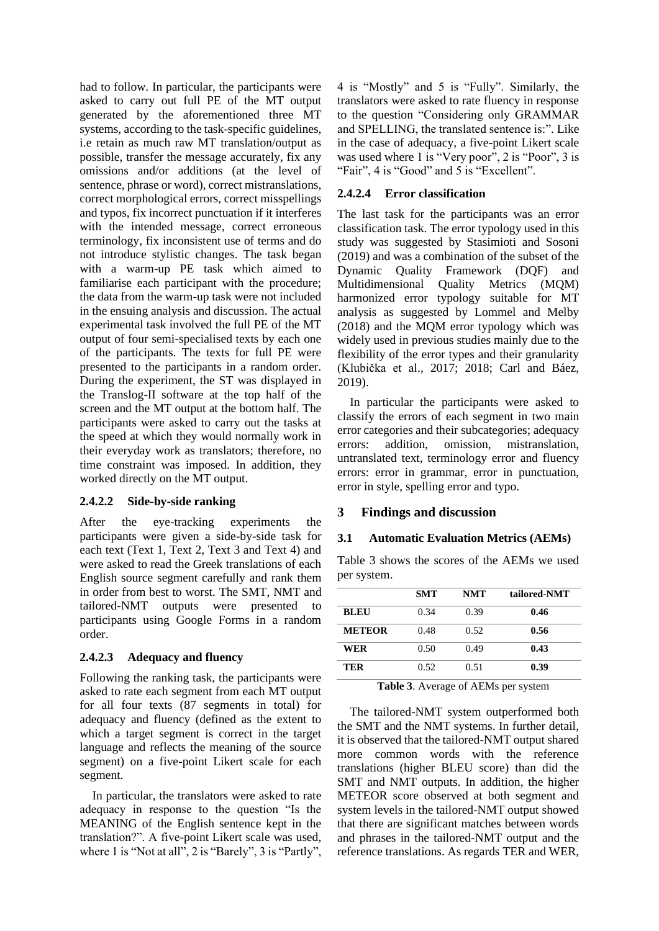had to follow. In particular, the participants were asked to carry out full PE of the MT output generated by the aforementioned three MT systems, according to the task-specific guidelines, i.e retain as much raw MT translation/output as possible, transfer the message accurately, fix any omissions and/or additions (at the level of sentence, phrase or word), correct mistranslations, correct morphological errors, correct misspellings and typos, fix incorrect punctuation if it interferes with the intended message, correct erroneous terminology, fix inconsistent use of terms and do not introduce stylistic changes. The task began with a warm-up PE task which aimed to familiarise each participant with the procedure; the data from the warm-up task were not included in the ensuing analysis and discussion. The actual experimental task involved the full PE of the MT output of four semi-specialised texts by each one of the participants. The texts for full PE were presented to the participants in a random order. During the experiment, the ST was displayed in the Translog-II software at the top half of the screen and the MT output at the bottom half. The participants were asked to carry out the tasks at the speed at which they would normally work in their everyday work as translators; therefore, no time constraint was imposed. In addition, they worked directly on the MT output.

## **2.4.2.2 Side-by-side ranking**

After the eye-tracking experiments the participants were given a side-by-side task for each text (Text 1, Text 2, Text 3 and Text 4) and were asked to read the Greek translations of each English source segment carefully and rank them in order from best to worst. The SMT, NMT and tailored-NMT outputs were presented to participants using Google Forms in a random order.

## **2.4.2.3 Adequacy and fluency**

Following the ranking task, the participants were asked to rate each segment from each MT output for all four texts (87 segments in total) for adequacy and fluency (defined as the extent to which a target segment is correct in the target language and reflects the meaning of the source segment) on a five-point Likert scale for each segment.

In particular, the translators were asked to rate adequacy in response to the question "Is the MEANING of the English sentence kept in the translation?". A five-point Likert scale was used, where 1 is "Not at all", 2 is "Barely", 3 is "Partly", 4 is "Mostly" and 5 is "Fully". Similarly, the translators were asked to rate fluency in response to the question "Considering only GRAMMAR and SPELLING, the translated sentence is:". Like in the case of adequacy, a five-point Likert scale was used where 1 is "Very poor", 2 is "Poor", 3 is "Fair", 4 is "Good" and 5 is "Excellent".

#### **2.4.2.4 Error classification**

The last task for the participants was an error classification task. The error typology used in this study was suggested by Stasimioti and Sosoni (2019) and was a combination of the subset of the Dynamic Quality Framework (DQF) and Multidimensional Quality Metrics (MQM) harmonized error typology suitable for MT analysis as suggested by Lommel and Melby (2018) and the MQM error typology which was widely used in previous studies mainly due to the flexibility of the error types and their granularity (Klubička et al., 2017; 2018; Carl and Báez, 2019).

In particular the participants were asked to classify the errors of each segment in two main error categories and their subcategories; adequacy errors: addition, omission, mistranslation, untranslated text, terminology error and fluency errors: error in grammar, error in punctuation, error in style, spelling error and typo.

## **3 Findings and discussion**

#### **3.1 Automatic Evaluation Metrics (AEMs)**

Table 3 shows the scores of the AEMs we used per system.

|               | <b>SMT</b> | <b>NMT</b> | tailored-NMT |
|---------------|------------|------------|--------------|
| <b>BLEU</b>   | 0.34       | 0.39       | 0.46         |
| <b>METEOR</b> | 0.48       | 0.52       | 0.56         |
| WER           | 0.50       | 0.49       | 0.43         |
| TER           | 0.52       | 0.51       | 0.39         |

**Table 3**. Average of AEMs per system

The tailored-NMT system outperformed both the SMT and the NMT systems. In further detail, it is observed that the tailored-NMT output shared more common words with the reference translations (higher BLEU score) than did the SMT and NMT outputs. In addition, the higher METEOR score observed at both segment and system levels in the tailored-NMT output showed that there are significant matches between words and phrases in the tailored-NMT output and the reference translations. As regards TER and WER,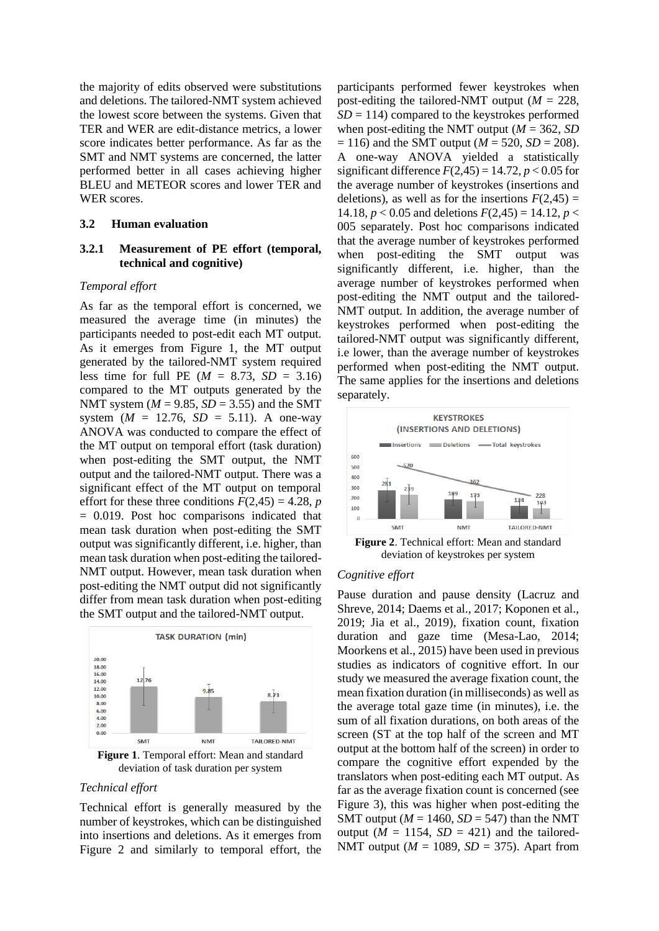the majority of edits observed were substitutions and deletions. The tailored-NMT system achieved the lowest score between the systems. Given that TER and WER are edit-distance metrics, a lower score indicates better performance. As far as the SMT and NMT systems are concerned, the latter performed better in all cases achieving higher BLEU and METEOR scores and lower TER and WER scores.

#### **3.2 Human evaluation**

## **3.2.1 Measurement of PE effort (temporal, technical and cognitive)**

#### *Temporal effort*

As far as the temporal effort is concerned, we measured the average time (in minutes) the participants needed to post-edit each MT output. As it emerges from Figure 1, the MT output generated by the tailored-NMT system required less time for full PE ( $M = 8.73$ ,  $SD = 3.16$ ) compared to the MT outputs generated by the NMT system  $(M = 9.85, SD = 3.55)$  and the SMT system  $(M = 12.76, SD = 5.11)$ . A one-way ANOVA was conducted to compare the effect of the MT output on temporal effort (task duration) when post-editing the SMT output, the NMT output and the tailored-NMT output. There was a significant effect of the MT output on temporal effort for these three conditions  $F(2,45) = 4.28$ , *p* = 0.019. Post hoc comparisons indicated that mean task duration when post-editing the SMT output was significantly different, i.e. higher, than mean task duration when post-editing the tailored-NMT output. However, mean task duration when post-editing the NMT output did not significantly differ from mean task duration when post-editing the SMT output and the tailored-NMT output.



deviation of task duration per system

#### *Technical effort*

Technical effort is generally measured by the number of keystrokes, which can be distinguished into insertions and deletions. As it emerges from Figure 2 and similarly to temporal effort, the

participants performed fewer keystrokes when post-editing the tailored-NMT output ( $M = 228$ ,  $SD = 114$ ) compared to the keystrokes performed when post-editing the NMT output ( $M = 362$ , *SD*)  $= 116$ ) and the SMT output ( $M = 520$ ,  $SD = 208$ ). A one-way ANOVA yielded a statistically significant difference  $F(2,45) = 14.72$ ,  $p < 0.05$  for the average number of keystrokes (insertions and deletions), as well as for the insertions  $F(2,45) =$ 14.18,  $p < 0.05$  and deletions  $F(2,45) = 14.12$ ,  $p <$ 005 separately. Post hoc comparisons indicated that the average number of keystrokes performed when post-editing the SMT output was significantly different, i.e. higher, than the average number of keystrokes performed when post-editing the NMT output and the tailored-NMT output. In addition, the average number of keystrokes performed when post-editing the tailored-NMT output was significantly different, i.e lower, than the average number of keystrokes performed when post-editing the NMT output. The same applies for the insertions and deletions separately.



#### *Cognitive effort*

Pause duration and pause density (Lacruz and Shreve, 2014; Daems et al., 2017; Koponen et al., 2019; Jia et al., 2019), fixation count, fixation duration and gaze time (Mesa-Lao, 2014; Moorkens et al., 2015) have been used in previous studies as indicators of cognitive effort. In our study we measured the average fixation count, the mean fixation duration (in milliseconds) as well as the average total gaze time (in minutes), i.e. the sum of all fixation durations, on both areas of the screen (ST at the top half of the screen and MT output at the bottom half of the screen) in order to compare the cognitive effort expended by the translators when post-editing each MT output. As far as the average fixation count is concerned (see Figure 3), this was higher when post-editing the SMT output ( $M = 1460$ ,  $SD = 547$ ) than the NMT output ( $M = 1154$ ,  $SD = 421$ ) and the tailored-NMT output ( $M = 1089$ ,  $SD = 375$ ). Apart from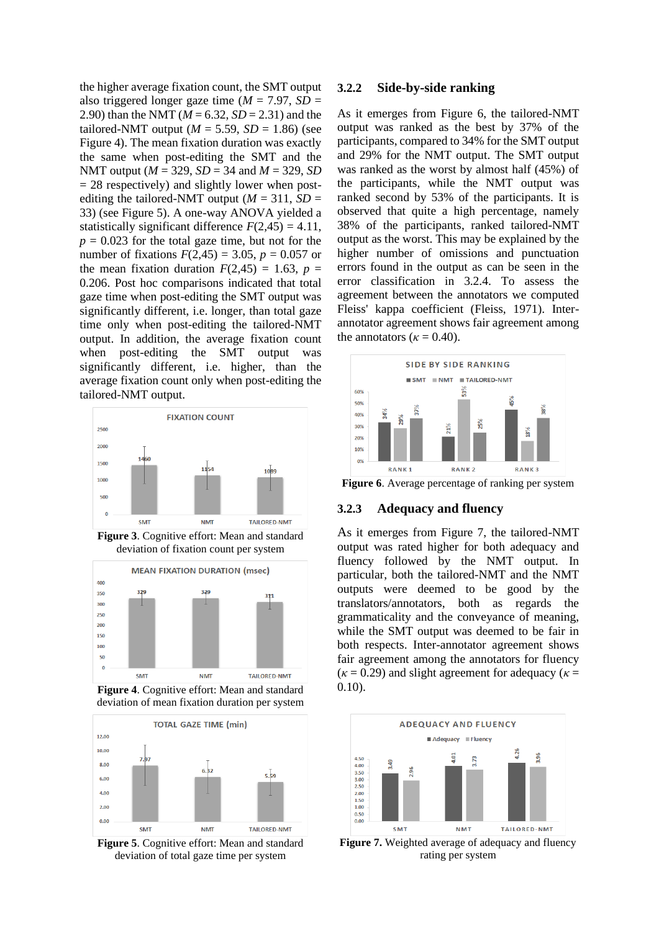the higher average fixation count, the SMT output also triggered longer gaze time ( $M = 7.97$ ,  $SD =$ 2.90) than the NMT (*M* = 6.32, *SD* = 2.31) and the tailored-NMT output ( $M = 5.59$ ,  $SD = 1.86$ ) (see Figure 4). The mean fixation duration was exactly the same when post-editing the SMT and the NMT output (*M* = 329, *SD* = 34 and *M* = 329, *SD*  $= 28$  respectively) and slightly lower when postediting the tailored-NMT output ( $M = 311$ ,  $SD =$ 33) (see Figure 5). A one-way ANOVA yielded a statistically significant difference  $F(2,45) = 4.11$ ,  $p = 0.023$  for the total gaze time, but not for the number of fixations  $F(2,45) = 3.05$ ,  $p = 0.057$  or the mean fixation duration  $F(2,45) = 1.63$ ,  $p =$ 0.206. Post hoc comparisons indicated that total gaze time when post-editing the SMT output was significantly different, i.e. longer, than total gaze time only when post-editing the tailored-NMT output. In addition, the average fixation count when post-editing the SMT output was significantly different, i.e. higher, than the average fixation count only when post-editing the tailored-NMT output.



**Figure 3**. Cognitive effort: Mean and standard deviation of fixation count per system







**Figure 5**. Cognitive effort: Mean and standard deviation of total gaze time per system

## **3.2.2 Side-by-side ranking**

As it emerges from Figure 6, the tailored-NMT output was ranked as the best by 37% of the participants, compared to 34% for the SMT output and 29% for the NMT output. The SMT output was ranked as the worst by almost half (45%) of the participants, while the NMT output was ranked second by 53% of the participants. It is observed that quite a high percentage, namely 38% of the participants, ranked tailored-NMT output as the worst. This may be explained by the higher number of omissions and punctuation errors found in the output as can be seen in the error classification in 3.2.4. To assess the agreement between the annotators we computed Fleiss' kappa coefficient (Fleiss, 1971). Interannotator agreement shows fair agreement among the annotators ( $\kappa$  = 0.40).



**Figure 6**. Average percentage of ranking per system

#### **3.2.3 Adequacy and fluency**

As it emerges from Figure 7, the tailored-NMT output was rated higher for both adequacy and fluency followed by the NMT output. In particular, both the tailored-NMT and the NMT outputs were deemed to be good by the translators/annotators, both as regards the grammaticality and the conveyance of meaning, while the SMT output was deemed to be fair in both respects. Inter-annotator agreement shows fair agreement among the annotators for fluency  $(\kappa = 0.29)$  and slight agreement for adequacy ( $\kappa =$ 0.10).



**Figure 7.** Weighted average of adequacy and fluency rating per system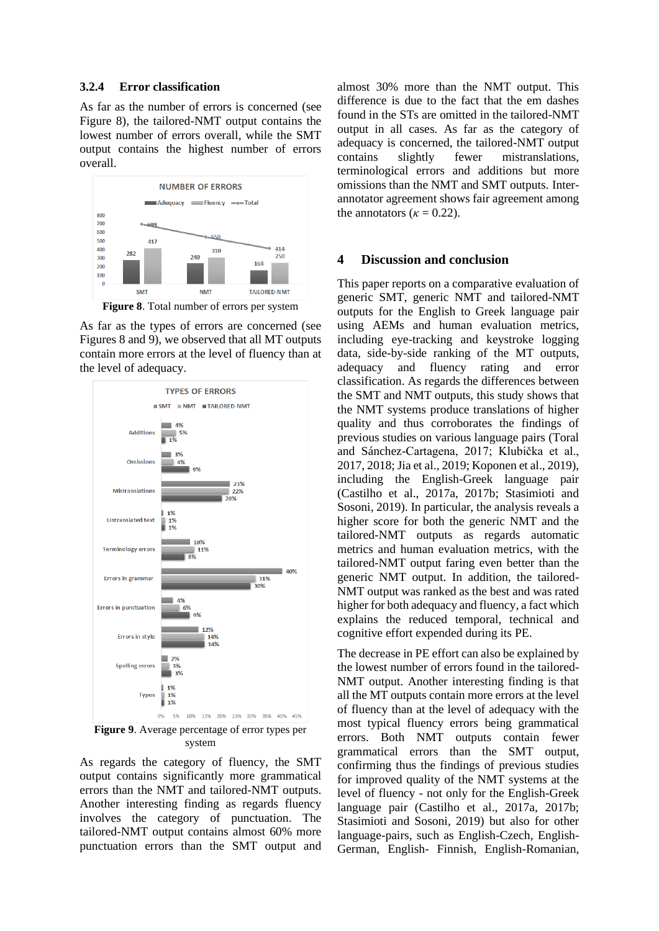#### **3.2.4 Error classification**

As far as the number of errors is concerned (see Figure 8), the tailored-NMT output contains the lowest number of errors overall, while the SMT output contains the highest number of errors overall.



As far as the types of errors are concerned (see Figures 8 and 9), we observed that all MT outputs contain more errors at the level of fluency than at the level of adequacy.



system

As regards the category of fluency, the SMT output contains significantly more grammatical errors than the NMT and tailored-NMT outputs. Another interesting finding as regards fluency involves the category of punctuation. The tailored-NMT output contains almost 60% more punctuation errors than the SMT output and

almost 30% more than the NMT output. This difference is due to the fact that the em dashes found in the STs are omitted in the tailored-NMT output in all cases. As far as the category of adequacy is concerned, the tailored-NMT output contains slightly fewer mistranslations, terminological errors and additions but more omissions than the NMT and SMT outputs. Interannotator agreement shows fair agreement among the annotators ( $\kappa = 0.22$ ).

#### **4 Discussion and conclusion**

This paper reports on a comparative evaluation of generic SMT, generic NMT and tailored-NMT outputs for the English to Greek language pair using AEMs and human evaluation metrics, including eye-tracking and keystroke logging data, side-by-side ranking of the MT outputs, adequacy and fluency rating and error classification. As regards the differences between the SMT and NMT outputs, this study shows that the NMT systems produce translations of higher quality and thus corroborates the findings of previous studies on various language pairs (Toral and Sánchez-Cartagena, 2017; Klubička et al., 2017, 2018; Jia et al., 2019; Koponen et al., 2019), including the English-Greek language pair (Castilho et al., 2017a, 2017b; Stasimioti and Sosoni, 2019). In particular, the analysis reveals a higher score for both the generic NMT and the tailored-NMT outputs as regards automatic metrics and human evaluation metrics, with the tailored-NMT output faring even better than the generic NMT output. In addition, the tailored-NMT output was ranked as the best and was rated higher for both adequacy and fluency, a fact which explains the reduced temporal, technical and cognitive effort expended during its PE.

The decrease in PE effort can also be explained by the lowest number of errors found in the tailored-NMT output. Another interesting finding is that all the MT outputs contain more errors at the level of fluency than at the level of adequacy with the most typical fluency errors being grammatical errors. Both NMT outputs contain fewer grammatical errors than the SMT output, confirming thus the findings of previous studies for improved quality of the NMT systems at the level of fluency - not only for the English-Greek language pair (Castilho et al., 2017a, 2017b; Stasimioti and Sosoni, 2019) but also for other language-pairs, such as English-Czech, English-German, English- Finnish, English-Romanian,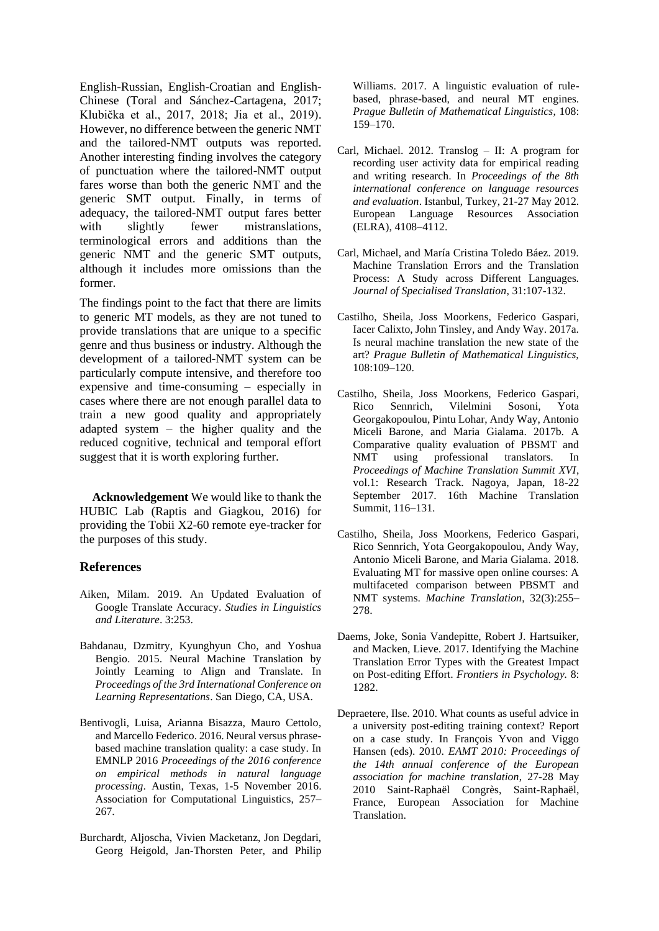English-Russian, English-Croatian and English-Chinese (Toral and Sánchez-Cartagena, 2017; Klubička et al., 2017, 2018; Jia et al., 2019). However, no difference between the generic NMT and the tailored-NMT outputs was reported. Another interesting finding involves the category of punctuation where the tailored-NMT output fares worse than both the generic NMT and the generic SMT output. Finally, in terms of adequacy, the tailored-NMT output fares better with slightly fewer mistranslations, terminological errors and additions than the generic NMT and the generic SMT outputs, although it includes more omissions than the former.

The findings point to the fact that there are limits to generic MT models, as they are not tuned to provide translations that are unique to a specific genre and thus business or industry. Although the development of a tailored-NMT system can be particularly compute intensive, and therefore too expensive and time-consuming – especially in cases where there are not enough parallel data to train a new good quality and appropriately adapted system – the higher quality and the reduced cognitive, technical and temporal effort suggest that it is worth exploring further.

**Acknowledgement** We would like to thank the HUBIC Lab (Raptis and Giagkou, 2016) for providing the Tobii X2-60 remote eye-tracker for the purposes of this study.

## **References**

- Aiken, Milam. 2019. An Updated Evaluation of Google Translate Accuracy. *Studies in Linguistics and Literature*. 3:253.
- Bahdanau, Dzmitry, Kyunghyun Cho, and Yoshua Bengio. 2015. Neural Machine Translation by Jointly Learning to Align and Translate. In *Proceedings of the 3rd International Conference on Learning Representations*. San Diego, CA, USA.
- Bentivogli, Luisa, Arianna Bisazza, Mauro Cettolo*,*  and Marcello Federico. 2016. Neural versus phrasebased machine translation quality: a case study. In EMNLP 2016 *Proceedings of the 2016 conference on empirical methods in natural language processing*. Austin, Texas, 1-5 November 2016. Association for Computational Linguistics, 257– 267.
- Burchardt, Aljoscha, Vivien Macketanz, Jon Degdari, Georg Heigold, Jan-Thorsten Peter, and Philip

Williams. 2017. A linguistic evaluation of rulebased, phrase-based, and neural MT engines. *Prague Bulletin of Mathematical Linguistics*, 108: 159–170.

- Carl, Michael. 2012. Translog II: A program for recording user activity data for empirical reading and writing research. In *Proceedings of the 8th international conference on language resources and evaluation*. Istanbul, Turkey, 21-27 May 2012. European Language Resources Association (ELRA), 4108–4112.
- Carl, Michael, and María Cristina Toledo Báez. 2019. Machine Translation Errors and the Translation Process: A Study across Different Languages. *Journal of Specialised Translation*, 31:107-132.
- Castilho, Sheila, Joss Moorkens, Federico Gaspari, Iacer Calixto, John Tinsley, and Andy Way. 2017a. Is neural machine translation the new state of the art? *Prague Bulletin of Mathematical Linguistics,* 108:109–120.
- Castilho, Sheila, Joss Moorkens, Federico Gaspari, Rico Sennrich, Vilelmini Sosoni, Yota Georgakopoulou, Pintu Lohar, Andy Way, Antonio Miceli Barone, and Maria Gialama. 2017b. A Comparative quality evaluation of PBSMT and NMT using professional translators. In *Proceedings of Machine Translation Summit XVI*, vol.1: Research Track. Nagoya, Japan, 18-22 September 2017. 16th Machine Translation Summit, 116–131.
- Castilho, Sheila, Joss Moorkens, Federico Gaspari, Rico Sennrich, Yota Georgakopoulou, Andy Way, Antonio Miceli Barone, and Maria Gialama. 2018. Evaluating MT for massive open online courses: A multifaceted comparison between PBSMT and NMT systems. *Machine Translation*, 32(3):255– 278.
- Daems, Joke, Sonia Vandepitte, Robert J. Hartsuiker, and Macken, Lieve. 2017. Identifying the Machine Translation Error Types with the Greatest Impact on Post-editing Effort. *Frontiers in Psychology.* 8: 1282.
- Depraetere, Ilse. 2010. What counts as useful advice in a university post-editing training context? Report on a case study. In François Yvon and Viggo Hansen (eds). 2010. *EAMT 2010: Proceedings of the 14th annual conference of the European association for machine translation*, 27-28 May 2010 Saint-Raphaël Congrès, Saint-Raphaël, France, European Association for Machine Translation.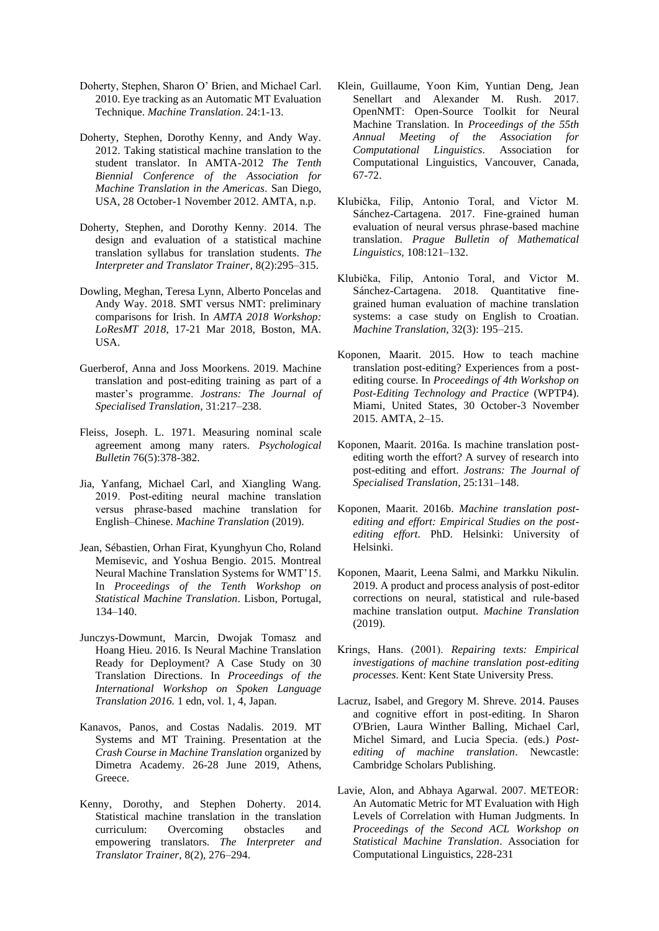- Doherty, Stephen, Sharon O' Brien, and Michael Carl. 2010. Eye tracking as an Automatic MT Evaluation Technique. *Machine Translation*. 24:1-13.
- Doherty, Stephen, Dorothy Kenny, and Andy Way. 2012. Taking statistical machine translation to the student translator. In AMTA-2012 *The Tenth Biennial Conference of the Association for Machine Translation in the Americas*. San Diego, USA, 28 October-1 November 2012. AMTA, n.p.
- Doherty, Stephen, and Dorothy Kenny. 2014. The design and evaluation of a statistical machine translation syllabus for translation students. *The Interpreter and Translator Trainer*, 8(2):295–315.
- Dowling, Meghan, Teresa Lynn, Alberto Poncelas and Andy Way. 2018. SMT versus NMT: preliminary comparisons for Irish*.* In *AMTA 2018 Workshop: LoResMT 2018*, 17-21 Mar 2018, Boston, MA. USA.
- Guerberof, Anna and Joss Moorkens. 2019. Machine translation and post-editing training as part of a master's programme. *Jostrans: The Journal of Specialised Translation*, 31:217–238.
- Fleiss, Joseph. L. 1971. Measuring nominal scale agreement among many raters. *Psychological Bulletin* 76(5):378-382.
- Jia, Yanfang, Michael Carl, and Xiangling Wang. 2019. Post‑editing neural machine translation versus phrase‑based machine translation for English–Chinese. *Machine Translation* (2019).
- Jean, Sébastien, Orhan Firat, Kyunghyun Cho, Roland Memisevic, and Yoshua Bengio. 2015. Montreal Neural Machine Translation Systems for WMT'15. In *Proceedings of the Tenth Workshop on Statistical Machine Translation*. Lisbon, Portugal, 134–140.
- Junczys-Dowmunt, Marcin, Dwojak Tomasz and Hoang Hieu. 2016. Is Neural Machine Translation Ready for Deployment? A Case Study on 30 Translation Directions. In *Proceedings of the International Workshop on Spoken Language Translation 2016.* 1 edn, vol. 1, 4, Japan.
- Kanavos, Panos, and Costas Nadalis. 2019. MT Systems and MT Training. Presentation at the *Crash Course in Machine Translation* organized by Dimetra Academy. 26-28 June 2019, Athens, Greece.
- Kenny, Dorothy, and Stephen Doherty. 2014. Statistical machine translation in the translation curriculum: Overcoming obstacles and empowering translators. *The Interpreter and Translator Trainer*, 8(2), 276–294.
- Klein, Guillaume, Yoon Kim, Yuntian Deng, Jean Senellart and Alexander M. Rush. 2017. OpenNMT: Open-Source Toolkit for Neural Machine Translation. In *Proceedings of the 55th Annual Meeting of the Association for Computational Linguistics*. Association for Computational Linguistics, Vancouver, Canada, 67-72.
- Klubička, Filip, Antonio Toral, and Victor M. Sánchez-Cartagena. 2017. Fine-grained human evaluation of neural versus phrase-based machine translation. *Prague Bulletin of Mathematical Linguistics,* 108:121–132.
- Klubička, Filip, Antonio Toral, and Victor M. Sánchez-Cartagena. 2018. Quantitative finegrained human evaluation of machine translation systems: a case study on English to Croatian. *Machine Translation*, 32(3): 195–215.
- Koponen, Maarit. 2015. How to teach machine translation post-editing? Experiences from a postediting course. In *Proceedings of 4th Workshop on Post-Editing Technology and Practice* (WPTP4). Miami, United States, 30 October-3 November 2015. AMTA, 2–15.
- Koponen, Maarit. 2016a. Is machine translation postediting worth the effort? A survey of research into post-editing and effort. *Jostrans: The Journal of Specialised Translation*, 25:131–148.
- Koponen, Maarit. 2016b. *Machine translation postediting and effort: Empirical Studies on the postediting effort*. PhD. Helsinki: University of Helsinki.
- Koponen, Maarit, Leena Salmi, and Markku Nikulin. 2019. A product and process analysis of post-editor corrections on neural, statistical and rule-based machine translation output. *Machine Translation* (2019).
- Krings, Ηans. (2001). *Repairing texts: Empirical investigations of machine translation post-editing processes*. Kent: Kent State University Press.
- Lacruz, Isabel, and Gregory M. Shreve. 2014. Pauses and cognitive effort in post-editing. In Sharon O'Brien, Laura Winther Balling, Michael Carl, Michel Simard, and Lucia Specia. (eds.) *Postediting of machine translation*. Newcastle: Cambridge Scholars Publishing.
- Lavie, Alon, and Abhaya Agarwal. 2007. METEOR: An Automatic Metric for MT Evaluation with High Levels of Correlation with Human Judgments. In *Proceedings of the Second ACL Workshop on Statistical Machine Translation*. Association for Computational Linguistics, 228-231